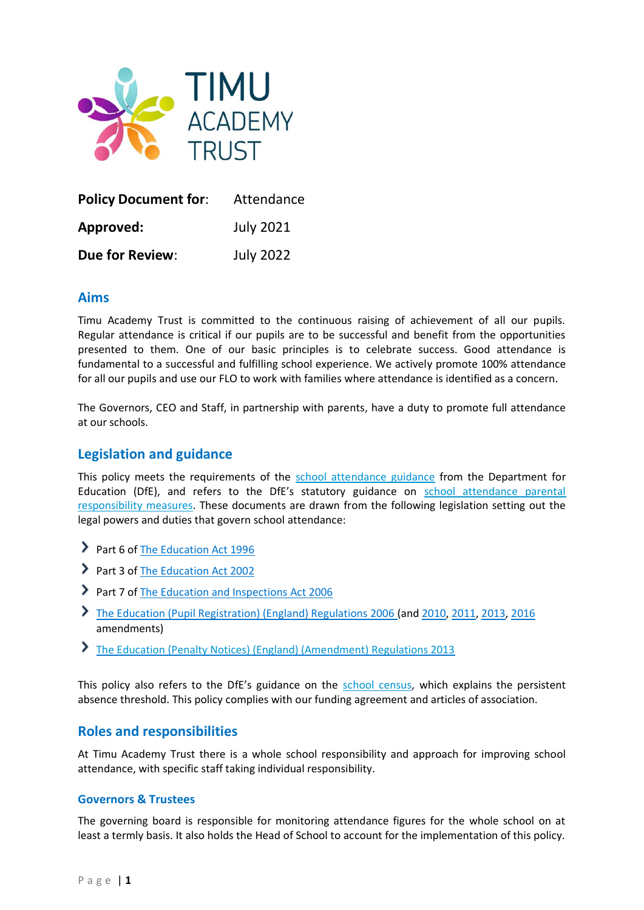

| <b>Policy Document for:</b> | Attendance       |
|-----------------------------|------------------|
| Approved:                   | <b>July 2021</b> |
| <b>Due for Review:</b>      | <b>July 2022</b> |

## **Aims**

Timu Academy Trust is committed to the continuous raising of achievement of all our pupils. Regular attendance is critical if our pupils are to be successful and benefit from the opportunities presented to them. One of our basic principles is to celebrate success. Good attendance is fundamental to a successful and fulfilling school experience. We actively promote 100% attendance for all our pupils and use our FLO to work with families where attendance is identified as a concern.

The Governors, CEO and Staff, in partnership with parents, have a duty to promote full attendance at our schools.

# **Legislation and guidance**

This policy meets the requirements of the [school attendance guidance](https://www.gov.uk/government/publications/school-attendance) from the Department for Education (DfE), and refers to the DfE's statutory guidance on [school attendance parental](https://www.gov.uk/government/publications/parental-responsibility-measures-for-behaviour-and-attendance)  [responsibility measures.](https://www.gov.uk/government/publications/parental-responsibility-measures-for-behaviour-and-attendance) These documents are drawn from the following legislation setting out the legal powers and duties that govern school attendance:

- Part 6 o[f The Education Act 1996](https://www.legislation.gov.uk/ukpga/1996/56/part/VI/chapter/II)
- Part 3 o[f The Education Act 2002](http://www.legislation.gov.uk/ukpga/2002/32/part/3/chapter/3)
- Part 7 o[f The Education and Inspections Act 2006](http://www.legislation.gov.uk/ukpga/2006/40/part/7/chapter/2/crossheading/school-attendance)
- [The Education \(Pupil Registration\) \(England\) Regulations 2006](http://www.legislation.gov.uk/uksi/2006/1751/contents/made) (and [2010,](https://www.legislation.gov.uk/uksi/2010/1725/regulation/2/made) [2011,](https://www.legislation.gov.uk/uksi/2011/1625/made) [2013,](https://www.legislation.gov.uk/uksi/2013/756/made) [2016](https://www.legislation.gov.uk/uksi/2016/792/made/data.html) amendments)
- [The Education \(Penalty Notices\) \(England\) \(Amendment\) Regulations 2013](https://www.legislation.gov.uk/uksi/2013/757/regulation/2/made)

This policy also refers to the DfE's guidance on the [school census,](https://www.gov.uk/government/publications/school-census-2017-to-2018-guide-for-schools-and-las) which explains the persistent absence threshold. This policy complies with our funding agreement and articles of association.

# **Roles and responsibilities**

At Timu Academy Trust there is a whole school responsibility and approach for improving school attendance, with specific staff taking individual responsibility.

#### **Governors & Trustees**

The governing board is responsible for monitoring attendance figures for the whole school on at least a termly basis. It also holds the Head of School to account for the implementation of this policy.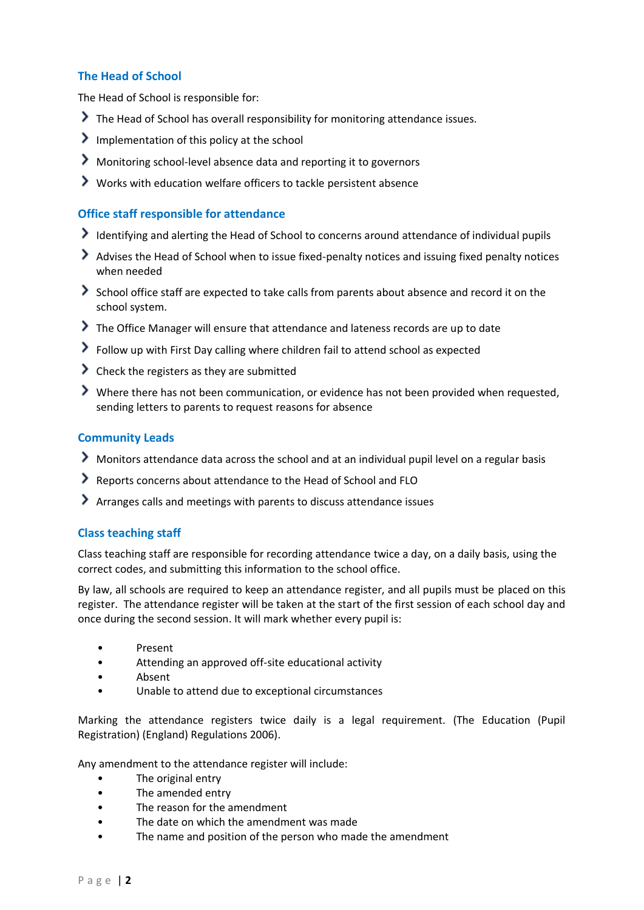## **The Head of School**

The Head of School is responsible for:

- The Head of School has overall responsibility for monitoring attendance issues.
- Implementation of this policy at the school
- Monitoring school-level absence data and reporting it to governors
- Works with education welfare officers to tackle persistent absence

### **Office staff responsible for attendance**

- Identifying and alerting the Head of School to concerns around attendance of individual pupils
- Advises the Head of School when to issue fixed-penalty notices and issuing fixed penalty notices when needed
- School office staff are expected to take calls from parents about absence and record it on the school system.
- The Office Manager will ensure that attendance and lateness records are up to date
- Follow up with First Day calling where children fail to attend school as expected
- Check the registers as they are submitted
- Where there has not been communication, or evidence has not been provided when requested, sending letters to parents to request reasons for absence

### **Community Leads**

- Monitors attendance data across the school and at an individual pupil level on a regular basis
- Reports concerns about attendance to the Head of School and FLO
- Arranges calls and meetings with parents to discuss attendance issues

## **Class teaching staff**

Class teaching staff are responsible for recording attendance twice a day, on a daily basis, using the correct codes, and submitting this information to the school office.

By law, all schools are required to keep an attendance register, and all pupils must be placed on this register. The attendance register will be taken at the start of the first session of each school day and once during the second session. It will mark whether every pupil is:

- Present
- Attending an approved off-site educational activity
- Absent
- Unable to attend due to exceptional circumstances

Marking the attendance registers twice daily is a legal requirement. (The Education (Pupil Registration) (England) Regulations 2006).

Any amendment to the attendance register will include:

- The original entry
- The amended entry
- The reason for the amendment
- The date on which the amendment was made
- The name and position of the person who made the amendment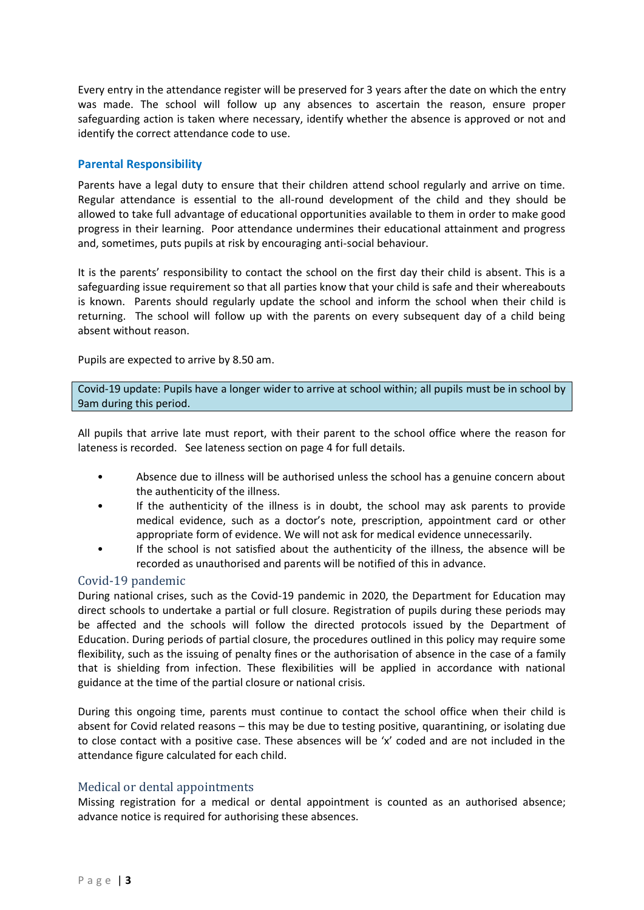Every entry in the attendance register will be preserved for 3 years after the date on which the entry was made. The school will follow up any absences to ascertain the reason, ensure proper safeguarding action is taken where necessary, identify whether the absence is approved or not and identify the correct attendance code to use.

## **Parental Responsibility**

Parents have a legal duty to ensure that their children attend school regularly and arrive on time. Regular attendance is essential to the all-round development of the child and they should be allowed to take full advantage of educational opportunities available to them in order to make good progress in their learning. Poor attendance undermines their educational attainment and progress and, sometimes, puts pupils at risk by encouraging anti-social behaviour.

It is the parents' responsibility to contact the school on the first day their child is absent. This is a safeguarding issue requirement so that all parties know that your child is safe and their whereabouts is known. Parents should regularly update the school and inform the school when their child is returning. The school will follow up with the parents on every subsequent day of a child being absent without reason.

Pupils are expected to arrive by 8.50 am.

Covid-19 update: Pupils have a longer wider to arrive at school within; all pupils must be in school by 9am during this period.

All pupils that arrive late must report, with their parent to the school office where the reason for lateness is recorded. See lateness section on page [4](#page-3-0) for full details.

- Absence due to illness will be authorised unless the school has a genuine concern about the authenticity of the illness.
- If the authenticity of the illness is in doubt, the school may ask parents to provide medical evidence, such as a doctor's note, prescription, appointment card or other appropriate form of evidence. We will not ask for medical evidence unnecessarily.
- If the school is not satisfied about the authenticity of the illness, the absence will be recorded as unauthorised and parents will be notified of this in advance.

## Covid-19 pandemic

During national crises, such as the Covid-19 pandemic in 2020, the Department for Education may direct schools to undertake a partial or full closure. Registration of pupils during these periods may be affected and the schools will follow the directed protocols issued by the Department of Education. During periods of partial closure, the procedures outlined in this policy may require some flexibility, such as the issuing of penalty fines or the authorisation of absence in the case of a family that is shielding from infection. These flexibilities will be applied in accordance with national guidance at the time of the partial closure or national crisis.

During this ongoing time, parents must continue to contact the school office when their child is absent for Covid related reasons – this may be due to testing positive, quarantining, or isolating due to close contact with a positive case. These absences will be 'x' coded and are not included in the attendance figure calculated for each child.

#### <span id="page-2-0"></span>Medical or dental appointments

Missing registration for a medical or dental appointment is counted as an authorised absence; advance notice is required for authorising these absences.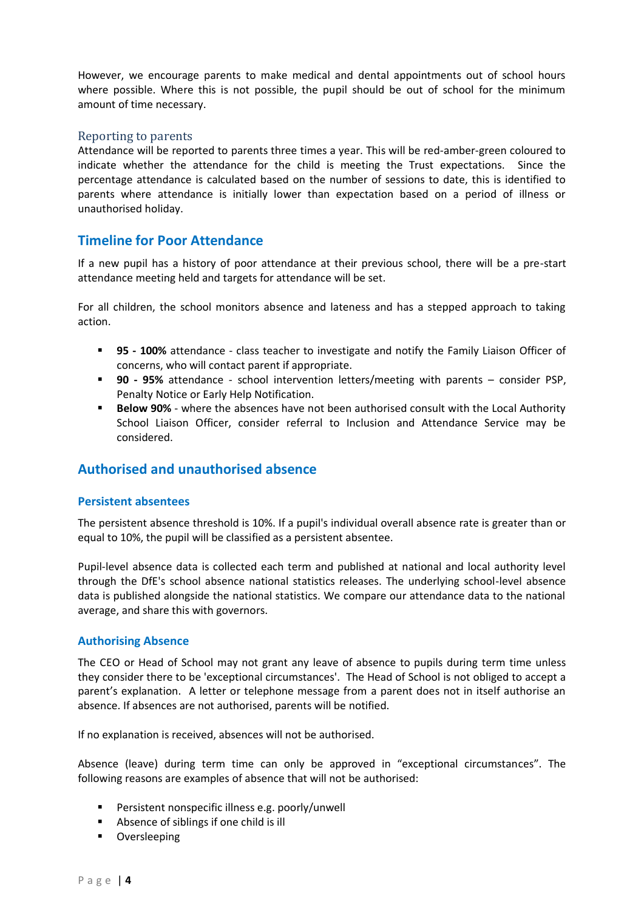However, we encourage parents to make medical and dental appointments out of school hours where possible. Where this is not possible, the pupil should be out of school for the minimum amount of time necessary.

### Reporting to parents

Attendance will be reported to parents three times a year. This will be red-amber-green coloured to indicate whether the attendance for the child is meeting the Trust expectations. Since the percentage attendance is calculated based on the number of sessions to date, this is identified to parents where attendance is initially lower than expectation based on a period of illness or unauthorised holiday.

# **Timeline for Poor Attendance**

If a new pupil has a history of poor attendance at their previous school, there will be a pre-start attendance meeting held and targets for attendance will be set.

For all children, the school monitors absence and lateness and has a stepped approach to taking action.

- **95 - 100%** attendance class teacher to investigate and notify the Family Liaison Officer of concerns, who will contact parent if appropriate.
- **90 - 95%** attendance school intervention letters/meeting with parents consider PSP, Penalty Notice or Early Help Notification.
- **Below 90%** where the absences have not been authorised consult with the Local Authority School Liaison Officer, consider referral to Inclusion and Attendance Service may be considered.

# <span id="page-3-0"></span>**Authorised and unauthorised absence**

## **Persistent absentees**

The persistent absence threshold is 10%. If a pupil's individual overall absence rate is greater than or equal to 10%, the pupil will be classified as a persistent absentee.

Pupil-level absence data is collected each term and published at national and local authority level through the DfE's school absence national statistics releases. The underlying school-level absence data is published alongside the national statistics. We compare our attendance data to the national average, and share this with governors.

#### **Authorising Absence**

The CEO or Head of School may not grant any leave of absence to pupils during term time unless they consider there to be 'exceptional circumstances'. The Head of School is not obliged to accept a parent's explanation. A letter or telephone message from a parent does not in itself authorise an absence. If absences are not authorised, parents will be notified.

If no explanation is received, absences will not be authorised.

Absence (leave) during term time can only be approved in "exceptional circumstances". The following reasons are examples of absence that will not be authorised:

- Persistent nonspecific illness e.g. poorly/unwell
- Absence of siblings if one child is ill
- Oversleeping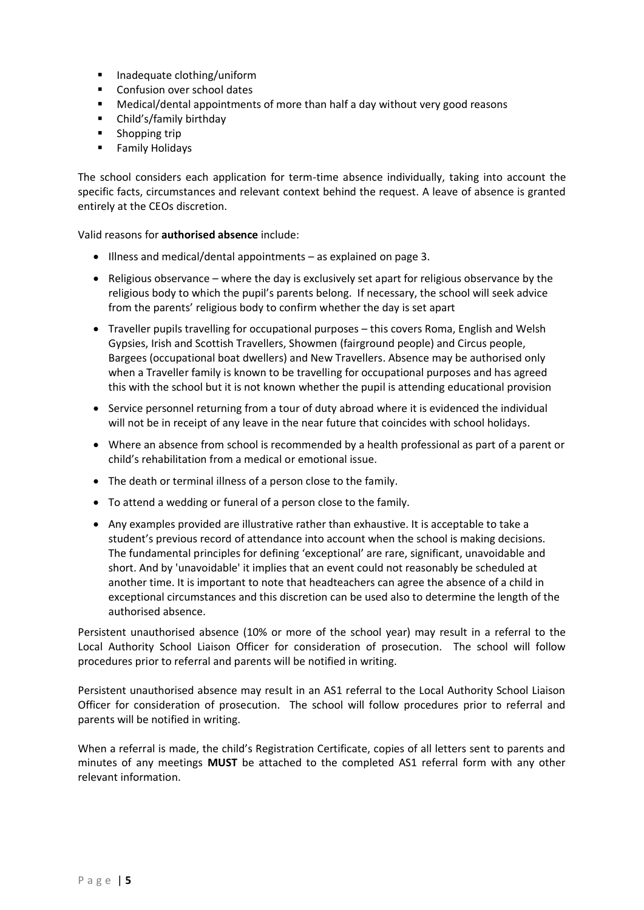- Inadequate clothing/uniform
- Confusion over school dates
- Medical/dental appointments of more than half a day without very good reasons
- Child's/family birthday
- Shopping trip
- Family Holidays

The school considers each application for term-time absence individually, taking into account the specific facts, circumstances and relevant context behind the request. A leave of absence is granted entirely at the CEOs discretion.

Valid reasons for **authorised absence** include:

- Illness and medical/dental appointments as explained on page [3.](#page-2-0)
- Religious observance where the day is exclusively set apart for religious observance by the religious body to which the pupil's parents belong. If necessary, the school will seek advice from the parents' religious body to confirm whether the day is set apart
- Traveller pupils travelling for occupational purposes this covers Roma, English and Welsh Gypsies, Irish and Scottish Travellers, Showmen (fairground people) and Circus people, Bargees (occupational boat dwellers) and New Travellers. Absence may be authorised only when a Traveller family is known to be travelling for occupational purposes and has agreed this with the school but it is not known whether the pupil is attending educational provision
- Service personnel returning from a tour of duty abroad where it is evidenced the individual will not be in receipt of any leave in the near future that coincides with school holidays.
- Where an absence from school is recommended by a health professional as part of a parent or child's rehabilitation from a medical or emotional issue.
- The death or terminal illness of a person close to the family.
- To attend a wedding or funeral of a person close to the family.
- Any examples provided are illustrative rather than exhaustive. It is acceptable to take a student's previous record of attendance into account when the school is making decisions. The fundamental principles for defining 'exceptional' are rare, significant, unavoidable and short. And by 'unavoidable' it implies that an event could not reasonably be scheduled at another time. It is important to note that headteachers can agree the absence of a child in exceptional circumstances and this discretion can be used also to determine the length of the authorised absence.

Persistent unauthorised absence (10% or more of the school year) may result in a referral to the Local Authority School Liaison Officer for consideration of prosecution. The school will follow procedures prior to referral and parents will be notified in writing.

Persistent unauthorised absence may result in an AS1 referral to the Local Authority School Liaison Officer for consideration of prosecution. The school will follow procedures prior to referral and parents will be notified in writing.

When a referral is made, the child's Registration Certificate, copies of all letters sent to parents and minutes of any meetings **MUST** be attached to the completed AS1 referral form with any other relevant information.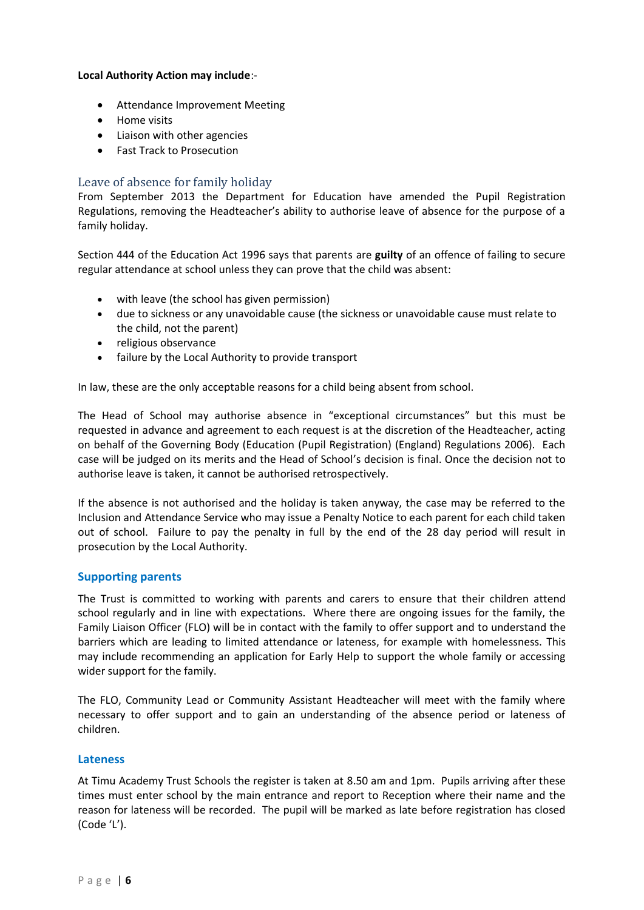#### **Local Authority Action may include**:-

- Attendance Improvement Meeting
- Home visits
- Liaison with other agencies
- Fast Track to Prosecution

## Leave of absence for family holiday

From September 2013 the Department for Education have amended the Pupil Registration Regulations, removing the Headteacher's ability to authorise leave of absence for the purpose of a family holiday.

Section 444 of the Education Act 1996 says that parents are **guilty** of an offence of failing to secure regular attendance at school unless they can prove that the child was absent:

- with leave (the school has given permission)
- due to sickness or any unavoidable cause (the sickness or unavoidable cause must relate to the child, not the parent)
- religious observance
- failure by the Local Authority to provide transport

In law, these are the only acceptable reasons for a child being absent from school.

The Head of School may authorise absence in "exceptional circumstances" but this must be requested in advance and agreement to each request is at the discretion of the Headteacher, acting on behalf of the Governing Body (Education (Pupil Registration) (England) Regulations 2006). Each case will be judged on its merits and the Head of School's decision is final. Once the decision not to authorise leave is taken, it cannot be authorised retrospectively.

If the absence is not authorised and the holiday is taken anyway, the case may be referred to the Inclusion and Attendance Service who may issue a Penalty Notice to each parent for each child taken out of school. Failure to pay the penalty in full by the end of the 28 day period will result in prosecution by the Local Authority.

## **Supporting parents**

The Trust is committed to working with parents and carers to ensure that their children attend school regularly and in line with expectations. Where there are ongoing issues for the family, the Family Liaison Officer (FLO) will be in contact with the family to offer support and to understand the barriers which are leading to limited attendance or lateness, for example with homelessness. This may include recommending an application for Early Help to support the whole family or accessing wider support for the family.

The FLO, Community Lead or Community Assistant Headteacher will meet with the family where necessary to offer support and to gain an understanding of the absence period or lateness of children.

#### **Lateness**

At Timu Academy Trust Schools the register is taken at 8.50 am and 1pm. Pupils arriving after these times must enter school by the main entrance and report to Reception where their name and the reason for lateness will be recorded. The pupil will be marked as late before registration has closed (Code 'L').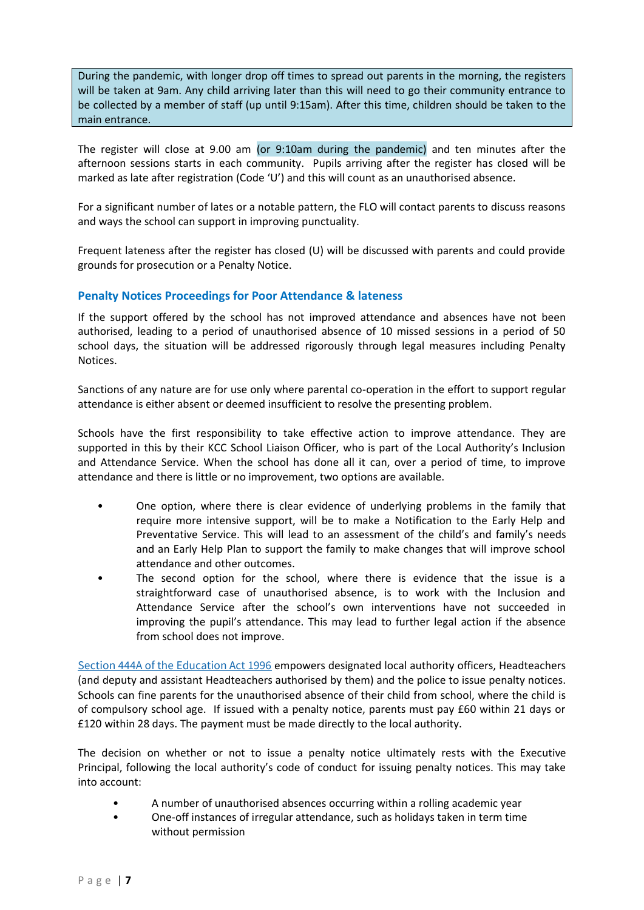During the pandemic, with longer drop off times to spread out parents in the morning, the registers will be taken at 9am. Any child arriving later than this will need to go their community entrance to be collected by a member of staff (up until 9:15am). After this time, children should be taken to the main entrance.

The register will close at 9.00 am (or 9:10am during the pandemic) and ten minutes after the afternoon sessions starts in each community. Pupils arriving after the register has closed will be marked as late after registration (Code 'U') and this will count as an unauthorised absence.

For a significant number of lates or a notable pattern, the FLO will contact parents to discuss reasons and ways the school can support in improving punctuality.

Frequent lateness after the register has closed (U) will be discussed with parents and could provide grounds for prosecution or a Penalty Notice.

### **Penalty Notices Proceedings for Poor Attendance & lateness**

If the support offered by the school has not improved attendance and absences have not been authorised, leading to a period of unauthorised absence of 10 missed sessions in a period of 50 school days, the situation will be addressed rigorously through legal measures including Penalty Notices.

Sanctions of any nature are for use only where parental co-operation in the effort to support regular attendance is either absent or deemed insufficient to resolve the presenting problem.

Schools have the first responsibility to take effective action to improve attendance. They are supported in this by their KCC School Liaison Officer, who is part of the Local Authority's Inclusion and Attendance Service. When the school has done all it can, over a period of time, to improve attendance and there is little or no improvement, two options are available.

- One option, where there is clear evidence of underlying problems in the family that require more intensive support, will be to make a Notification to the Early Help and Preventative Service. This will lead to an assessment of the child's and family's needs and an Early Help Plan to support the family to make changes that will improve school attendance and other outcomes.
- The second option for the school, where there is evidence that the issue is a straightforward case of unauthorised absence, is to work with the Inclusion and Attendance Service after the school's own interventions have not succeeded in improving the pupil's attendance. This may lead to further legal action if the absence from school does not improve.

[Section 444A of the Education Act 1996](http://www.legislation.gov.uk/ukpga/1996/56/section/444) empowers designated local authority officers, Headteachers (and deputy and assistant Headteachers authorised by them) and the police to issue penalty notices. Schools can fine parents for the unauthorised absence of their child from school, where the child is of compulsory school age. If issued with a penalty notice, parents must pay £60 within 21 days or £120 within 28 days. The payment must be made directly to the local authority.

The decision on whether or not to issue a penalty notice ultimately rests with the Executive Principal, following the local authority's code of conduct for issuing penalty notices. This may take into account:

- A number of unauthorised absences occurring within a rolling academic year
- One-off instances of irregular attendance, such as holidays taken in term time without permission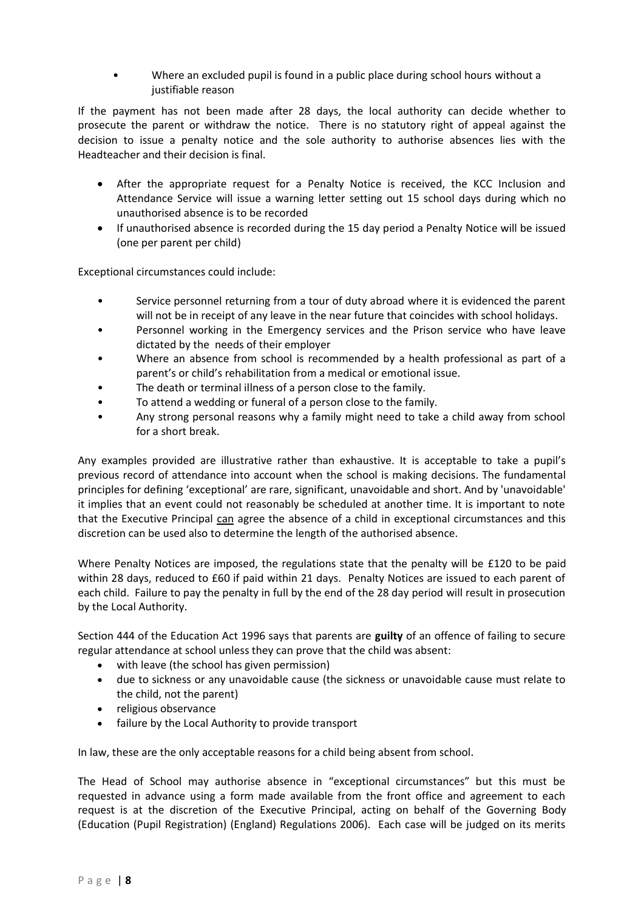• Where an excluded pupil is found in a public place during school hours without a justifiable reason

If the payment has not been made after 28 days, the local authority can decide whether to prosecute the parent or withdraw the notice. There is no statutory right of appeal against the decision to issue a penalty notice and the sole authority to authorise absences lies with the Headteacher and their decision is final.

- After the appropriate request for a Penalty Notice is received, the KCC Inclusion and Attendance Service will issue a warning letter setting out 15 school days during which no unauthorised absence is to be recorded
- If unauthorised absence is recorded during the 15 day period a Penalty Notice will be issued (one per parent per child)

Exceptional circumstances could include:

- Service personnel returning from a tour of duty abroad where it is evidenced the parent will not be in receipt of any leave in the near future that coincides with school holidays.
- Personnel working in the Emergency services and the Prison service who have leave dictated by the needs of their employer
- Where an absence from school is recommended by a health professional as part of a parent's or child's rehabilitation from a medical or emotional issue.
- The death or terminal illness of a person close to the family.
- To attend a wedding or funeral of a person close to the family.
- Any strong personal reasons why a family might need to take a child away from school for a short break.

Any examples provided are illustrative rather than exhaustive. It is acceptable to take a pupil's previous record of attendance into account when the school is making decisions. The fundamental principles for defining 'exceptional' are rare, significant, unavoidable and short. And by 'unavoidable' it implies that an event could not reasonably be scheduled at another time. It is important to note that the Executive Principal can agree the absence of a child in exceptional circumstances and this discretion can be used also to determine the length of the authorised absence.

Where Penalty Notices are imposed, the regulations state that the penalty will be £120 to be paid within 28 days, reduced to £60 if paid within 21 days. Penalty Notices are issued to each parent of each child. Failure to pay the penalty in full by the end of the 28 day period will result in prosecution by the Local Authority.

Section 444 of the Education Act 1996 says that parents are **guilty** of an offence of failing to secure regular attendance at school unless they can prove that the child was absent:

- with leave (the school has given permission)
- due to sickness or any unavoidable cause (the sickness or unavoidable cause must relate to the child, not the parent)
- religious observance
- failure by the Local Authority to provide transport

In law, these are the only acceptable reasons for a child being absent from school.

The Head of School may authorise absence in "exceptional circumstances" but this must be requested in advance using a form made available from the front office and agreement to each request is at the discretion of the Executive Principal, acting on behalf of the Governing Body (Education (Pupil Registration) (England) Regulations 2006). Each case will be judged on its merits